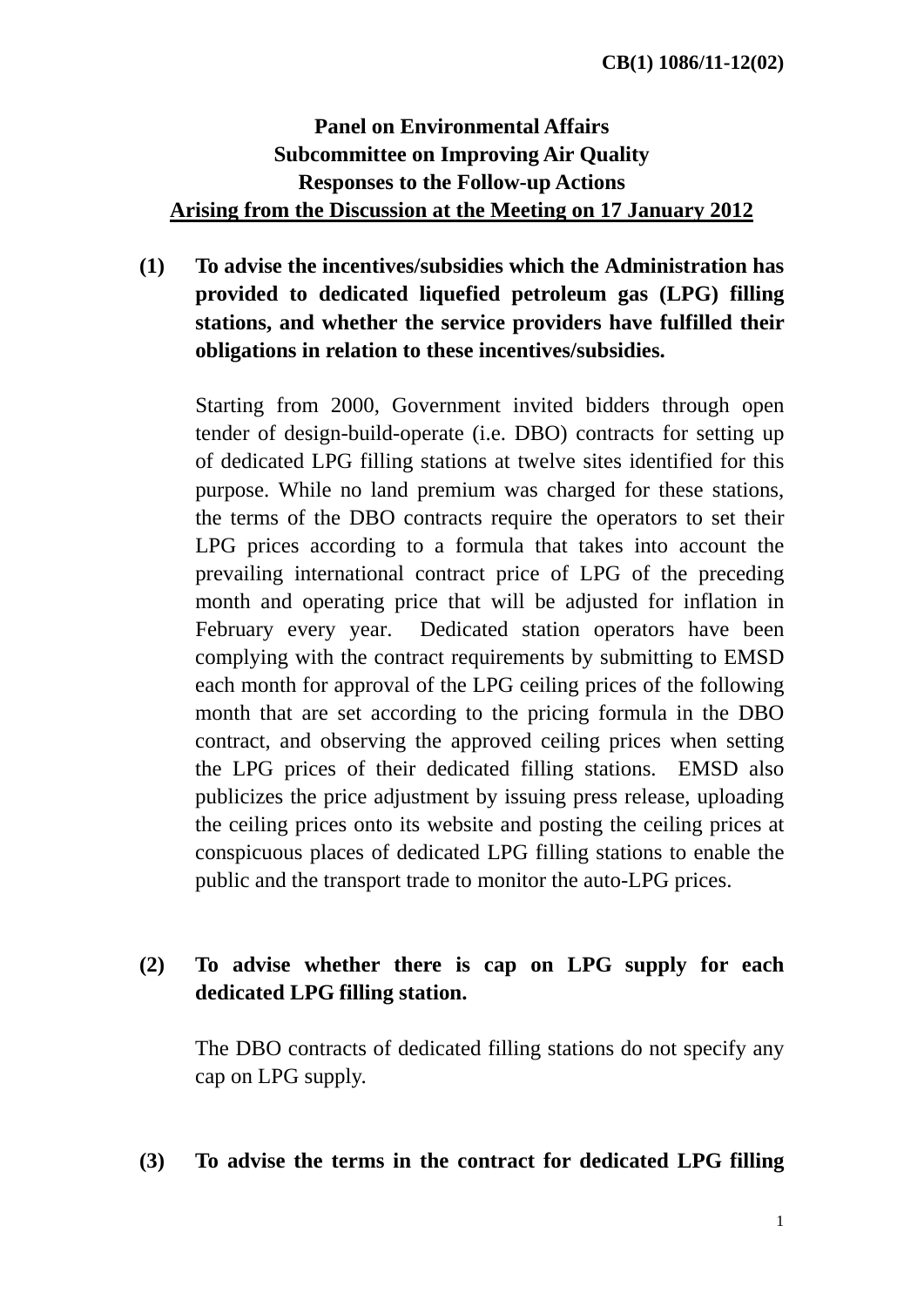# **Panel on Environmental Affairs Subcommittee on Improving Air Quality Responses to the Follow-up Actions Arising from the Discussion at the Meeting on 17 January 2012**

**(1) To advise the incentives/subsidies which the Administration has provided to dedicated liquefied petroleum gas (LPG) filling stations, and whether the service providers have fulfilled their obligations in relation to these incentives/subsidies.** 

Starting from 2000, Government invited bidders through open tender of design-build-operate (i.e. DBO) contracts for setting up of dedicated LPG filling stations at twelve sites identified for this purpose. While no land premium was charged for these stations, the terms of the DBO contracts require the operators to set their LPG prices according to a formula that takes into account the prevailing international contract price of LPG of the preceding month and operating price that will be adjusted for inflation in February every year. Dedicated station operators have been complying with the contract requirements by submitting to EMSD each month for approval of the LPG ceiling prices of the following month that are set according to the pricing formula in the DBO contract, and observing the approved ceiling prices when setting the LPG prices of their dedicated filling stations. EMSD also publicizes the price adjustment by issuing press release, uploading the ceiling prices onto its website and posting the ceiling prices at conspicuous places of dedicated LPG filling stations to enable the public and the transport trade to monitor the auto-LPG prices.

## **(2) To advise whether there is cap on LPG supply for each dedicated LPG filling station.**

The DBO contracts of dedicated filling stations do not specify any cap on LPG supply.

#### **(3) To advise the terms in the contract for dedicated LPG filling**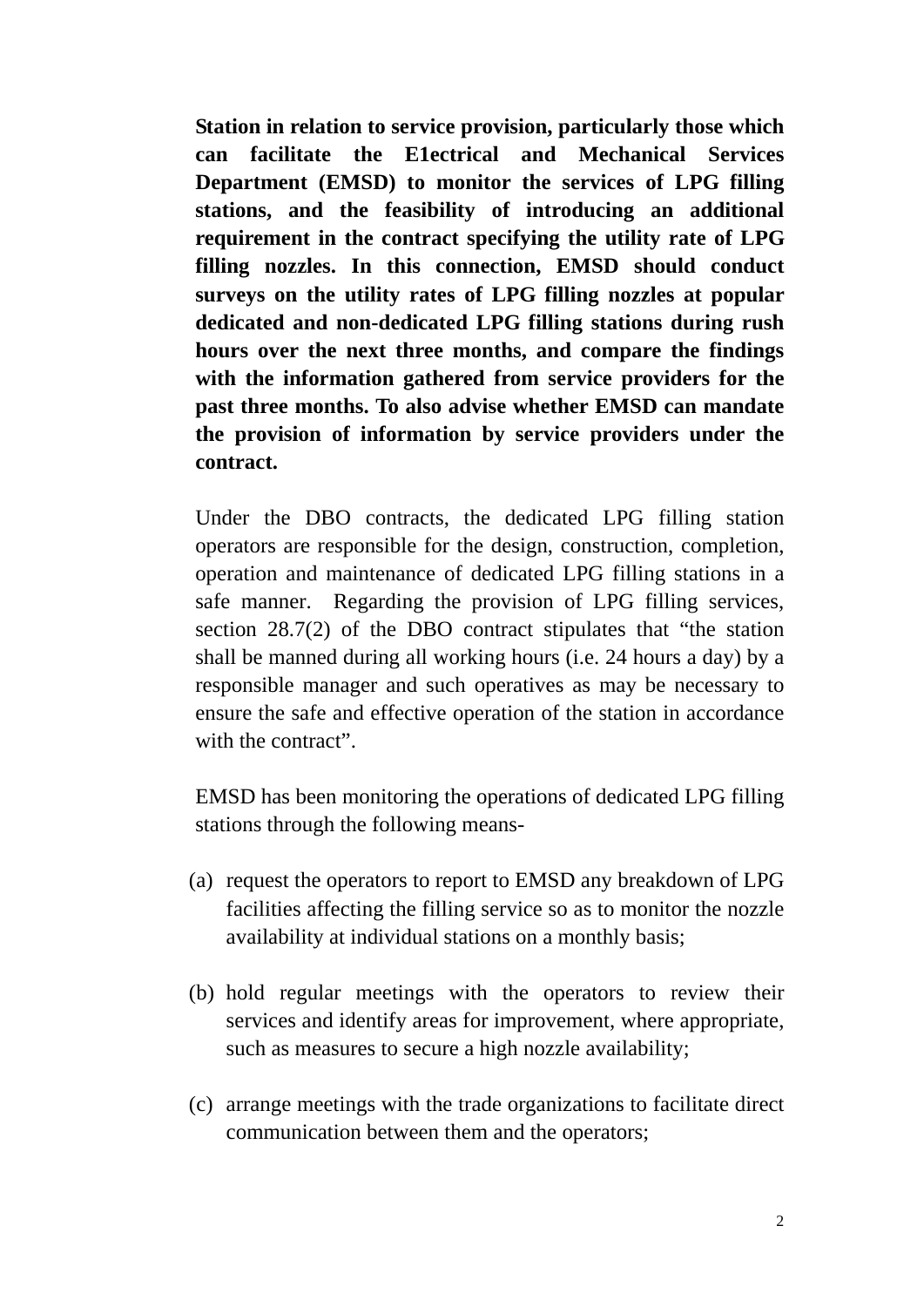**Station in relation to service provision, particularly those which can facilitate the E1ectrical and Mechanical Services Department (EMSD) to monitor the services of LPG filling stations, and the feasibility of introducing an additional requirement in the contract specifying the utility rate of LPG filling nozzles. In this connection, EMSD should conduct surveys on the utility rates of LPG filling nozzles at popular dedicated and non-dedicated LPG filling stations during rush hours over the next three months, and compare the findings with the information gathered from service providers for the past three months. To also advise whether EMSD can mandate the provision of information by service providers under the contract.** 

Under the DBO contracts, the dedicated LPG filling station operators are responsible for the design, construction, completion, operation and maintenance of dedicated LPG filling stations in a safe manner. Regarding the provision of LPG filling services, section 28.7(2) of the DBO contract stipulates that "the station shall be manned during all working hours (i.e. 24 hours a day) by a responsible manager and such operatives as may be necessary to ensure the safe and effective operation of the station in accordance with the contract".

EMSD has been monitoring the operations of dedicated LPG filling stations through the following means-

- (a) request the operators to report to EMSD any breakdown of LPG facilities affecting the filling service so as to monitor the nozzle availability at individual stations on a monthly basis;
- (b) hold regular meetings with the operators to review their services and identify areas for improvement, where appropriate, such as measures to secure a high nozzle availability;
- (c) arrange meetings with the trade organizations to facilitate direct communication between them and the operators;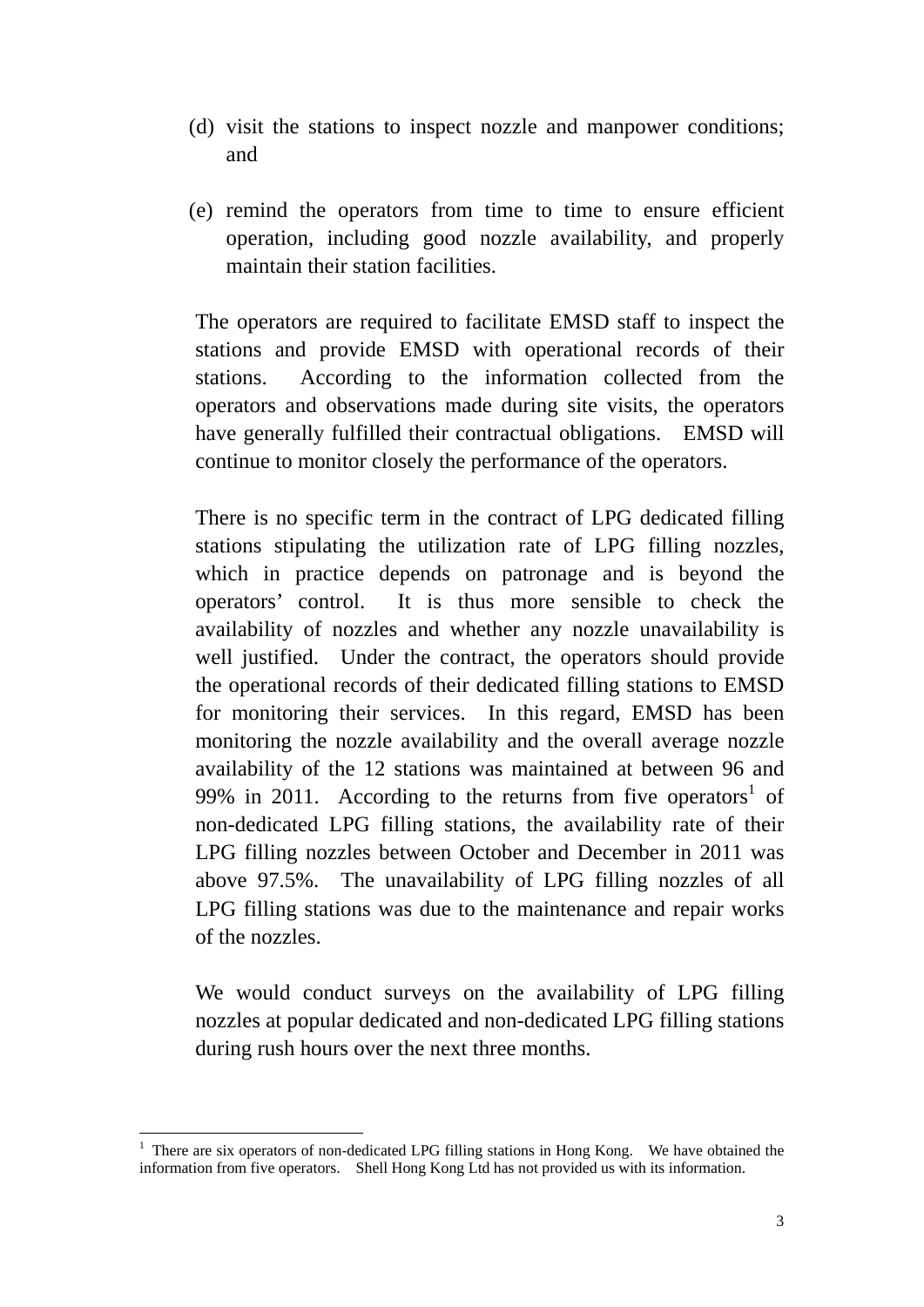- (d) visit the stations to inspect nozzle and manpower conditions; and
- (e) remind the operators from time to time to ensure efficient operation, including good nozzle availability, and properly maintain their station facilities.

The operators are required to facilitate EMSD staff to inspect the stations and provide EMSD with operational records of their stations. According to the information collected from the operators and observations made during site visits, the operators have generally fulfilled their contractual obligations. EMSD will continue to monitor closely the performance of the operators.

There is no specific term in the contract of LPG dedicated filling stations stipulating the utilization rate of LPG filling nozzles, which in practice depends on patronage and is beyond the operators' control. It is thus more sensible to check the availability of nozzles and whether any nozzle unavailability is well justified. Under the contract, the operators should provide the operational records of their dedicated filling stations to EMSD for monitoring their services. In this regard, EMSD has been monitoring the nozzle availability and the overall average nozzle availability of the 12 stations was maintained at between 96 and 99% in 2011. According to the returns from five operators<sup>1</sup> of non-dedicated LPG filling stations, the availability rate of their LPG filling nozzles between October and December in 2011 was above 97.5%. The unavailability of LPG filling nozzles of all LPG filling stations was due to the maintenance and repair works of the nozzles.

We would conduct surveys on the availability of LPG filling nozzles at popular dedicated and non-dedicated LPG filling stations during rush hours over the next three months.

 $\overline{a}$ 

<sup>&</sup>lt;sup>1</sup> There are six operators of non-dedicated LPG filling stations in Hong Kong. We have obtained the information from five operators. Shell Hong Kong Ltd has not provided us with its information.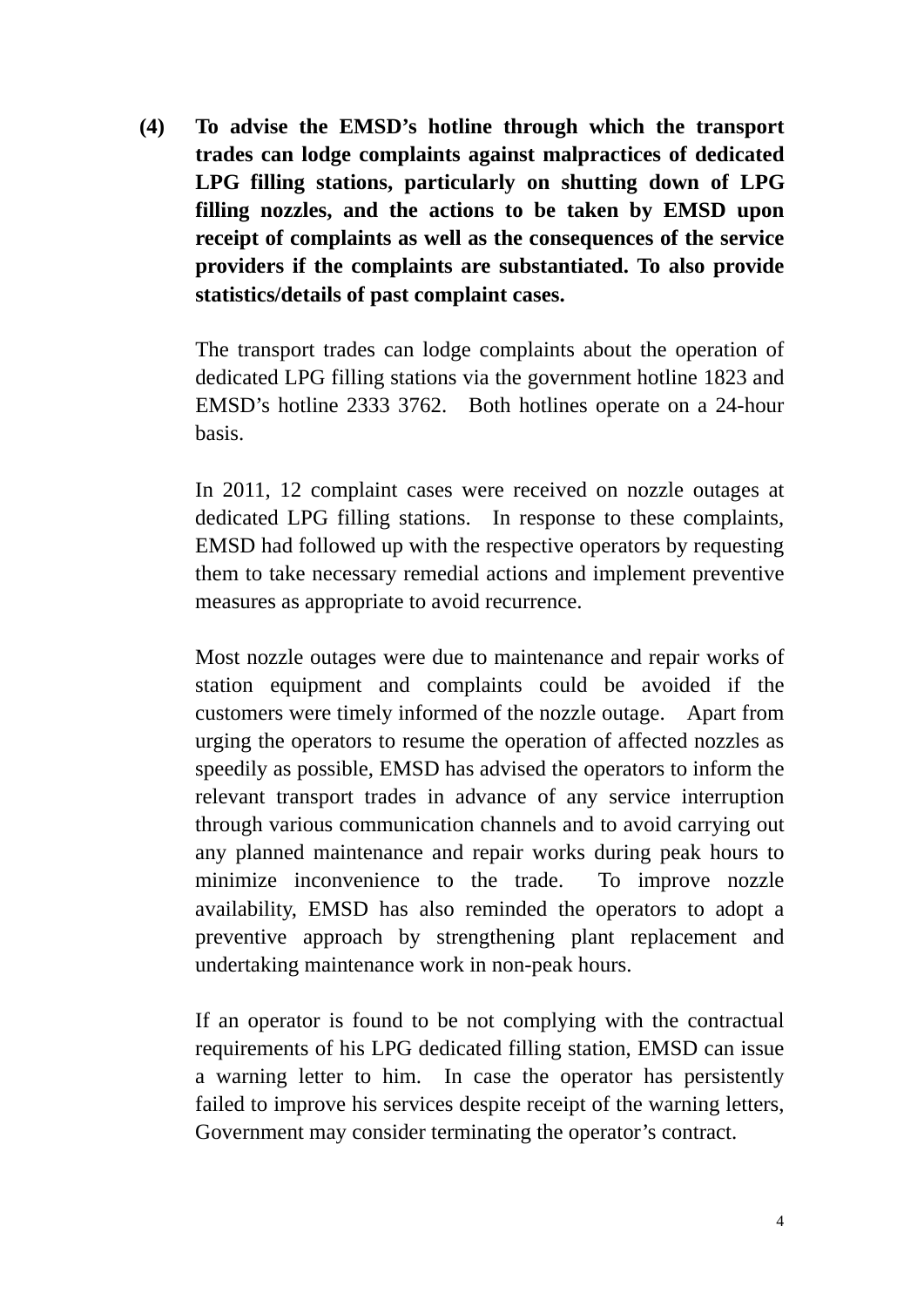**(4) To advise the EMSD's hotline through which the transport trades can lodge complaints against malpractices of dedicated LPG filling stations, particularly on shutting down of LPG filling nozzles, and the actions to be taken by EMSD upon receipt of complaints as well as the consequences of the service providers if the complaints are substantiated. To also provide statistics/details of past complaint cases.** 

The transport trades can lodge complaints about the operation of dedicated LPG filling stations via the government hotline 1823 and EMSD's hotline 2333 3762. Both hotlines operate on a 24-hour basis.

In 2011, 12 complaint cases were received on nozzle outages at dedicated LPG filling stations. In response to these complaints, EMSD had followed up with the respective operators by requesting them to take necessary remedial actions and implement preventive measures as appropriate to avoid recurrence.

Most nozzle outages were due to maintenance and repair works of station equipment and complaints could be avoided if the customers were timely informed of the nozzle outage. Apart from urging the operators to resume the operation of affected nozzles as speedily as possible, EMSD has advised the operators to inform the relevant transport trades in advance of any service interruption through various communication channels and to avoid carrying out any planned maintenance and repair works during peak hours to minimize inconvenience to the trade. To improve nozzle availability, EMSD has also reminded the operators to adopt a preventive approach by strengthening plant replacement and undertaking maintenance work in non-peak hours.

If an operator is found to be not complying with the contractual requirements of his LPG dedicated filling station, EMSD can issue a warning letter to him. In case the operator has persistently failed to improve his services despite receipt of the warning letters, Government may consider terminating the operator's contract.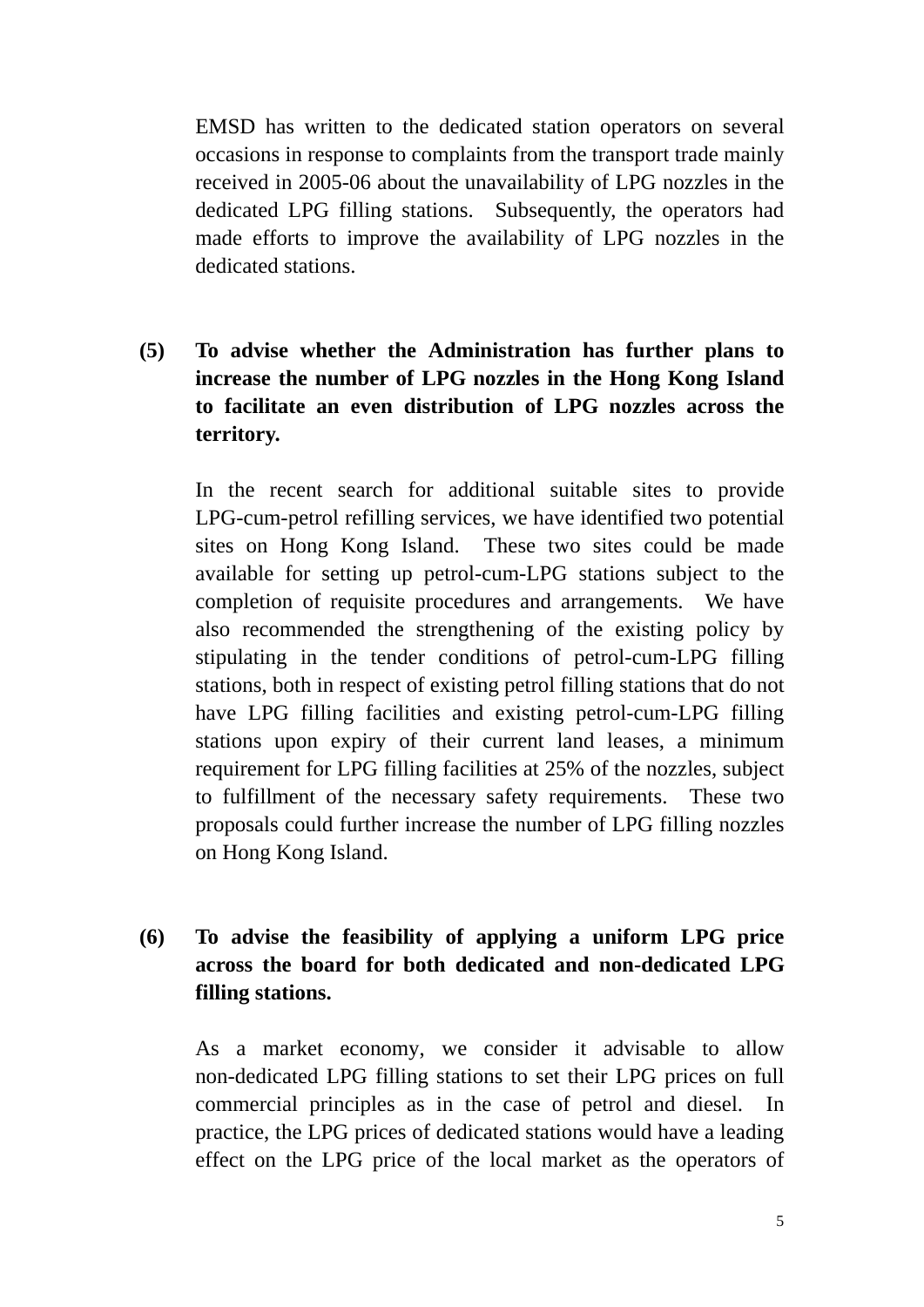EMSD has written to the dedicated station operators on several occasions in response to complaints from the transport trade mainly received in 2005-06 about the unavailability of LPG nozzles in the dedicated LPG filling stations. Subsequently, the operators had made efforts to improve the availability of LPG nozzles in the dedicated stations.

**(5) To advise whether the Administration has further plans to increase the number of LPG nozzles in the Hong Kong Island to facilitate an even distribution of LPG nozzles across the territory.** 

In the recent search for additional suitable sites to provide LPG-cum-petrol refilling services, we have identified two potential sites on Hong Kong Island. These two sites could be made available for setting up petrol-cum-LPG stations subject to the completion of requisite procedures and arrangements. We have also recommended the strengthening of the existing policy by stipulating in the tender conditions of petrol-cum-LPG filling stations, both in respect of existing petrol filling stations that do not have LPG filling facilities and existing petrol-cum-LPG filling stations upon expiry of their current land leases, a minimum requirement for LPG filling facilities at 25% of the nozzles, subject to fulfillment of the necessary safety requirements. These two proposals could further increase the number of LPG filling nozzles on Hong Kong Island.

**(6) To advise the feasibility of applying a uniform LPG price across the board for both dedicated and non-dedicated LPG filling stations.** 

As a market economy, we consider it advisable to allow non-dedicated LPG filling stations to set their LPG prices on full commercial principles as in the case of petrol and diesel. In practice, the LPG prices of dedicated stations would have a leading effect on the LPG price of the local market as the operators of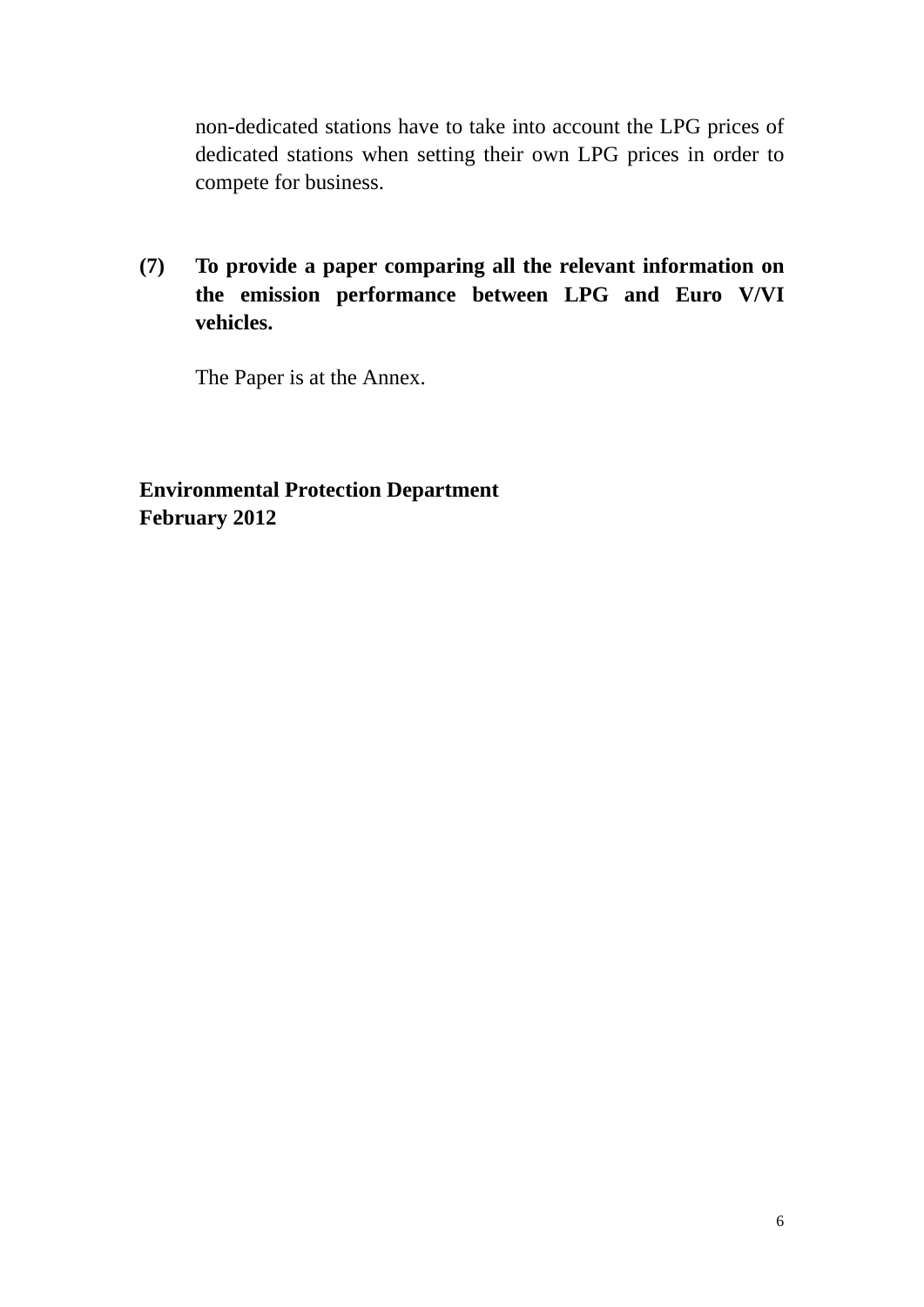non-dedicated stations have to take into account the LPG prices of dedicated stations when setting their own LPG prices in order to compete for business.

## **(7) To provide a paper comparing all the relevant information on the emission performance between LPG and Euro V/VI vehicles.**

The Paper is at the Annex.

### **Environmental Protection Department February 2012**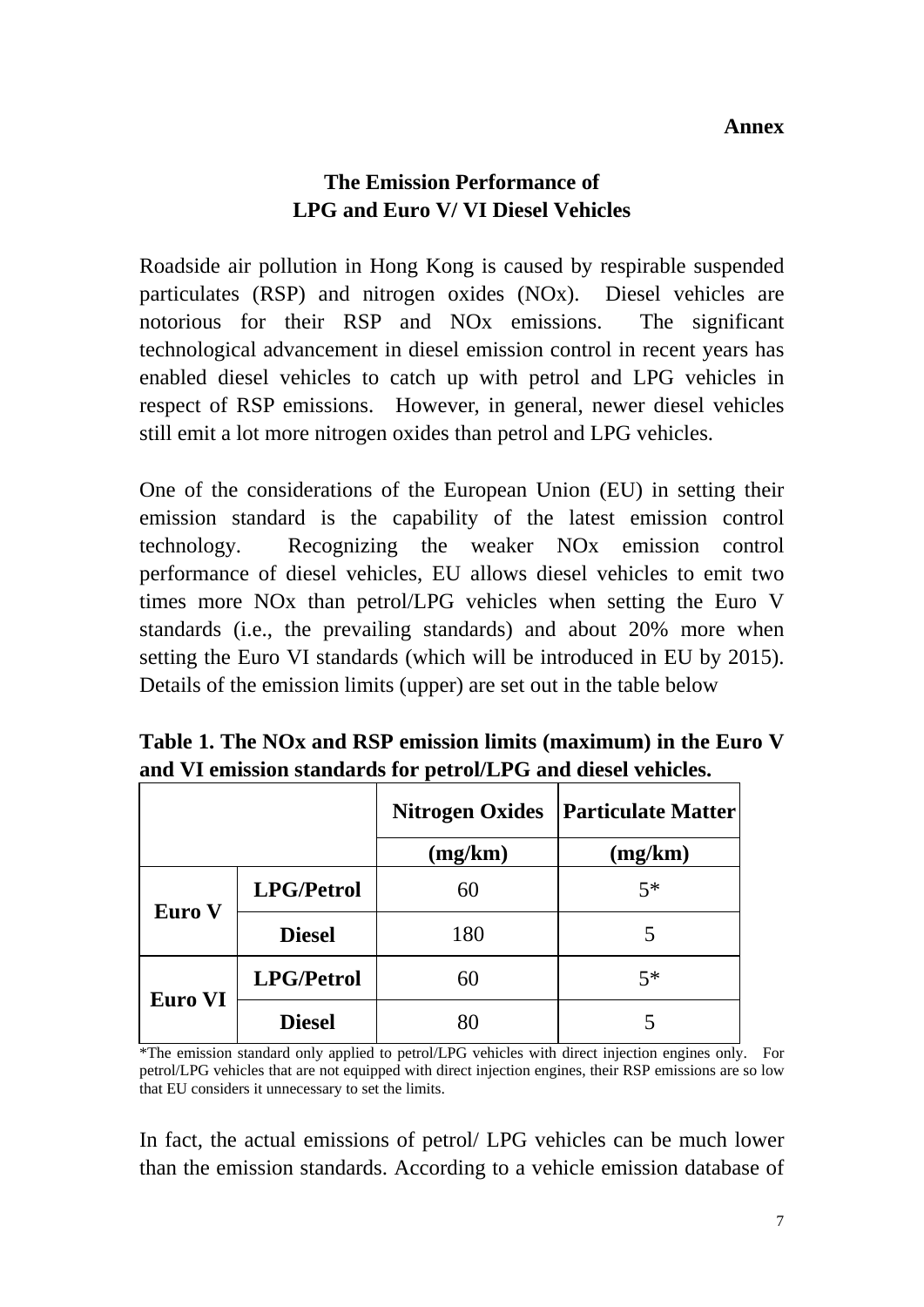#### **Annex**

#### **The Emission Performance of LPG and Euro V/ VI Diesel Vehicles**

Roadside air pollution in Hong Kong is caused by respirable suspended particulates (RSP) and nitrogen oxides (NOx). Diesel vehicles are notorious for their RSP and NOx emissions. The significant technological advancement in diesel emission control in recent years has enabled diesel vehicles to catch up with petrol and LPG vehicles in respect of RSP emissions. However, in general, newer diesel vehicles still emit a lot more nitrogen oxides than petrol and LPG vehicles.

One of the considerations of the European Union (EU) in setting their emission standard is the capability of the latest emission control technology. Recognizing the weaker NOx emission control performance of diesel vehicles, EU allows diesel vehicles to emit two times more NOx than petrol/LPG vehicles when setting the Euro V standards (i.e., the prevailing standards) and about 20% more when setting the Euro VI standards (which will be introduced in EU by 2015). Details of the emission limits (upper) are set out in the table below

|                |                   | <b>Nitrogen Oxides</b> | <b>Particulate Matter</b> |
|----------------|-------------------|------------------------|---------------------------|
|                |                   | (mg/km)                | (mg/km)                   |
| Euro V         | <b>LPG/Petrol</b> | 60                     | $5*$                      |
|                | <b>Diesel</b>     | 180                    |                           |
| <b>Euro VI</b> | <b>LPG/Petrol</b> | 60                     | $5*$                      |
|                | <b>Diesel</b>     | 80                     |                           |

**Table 1. The NOx and RSP emission limits (maximum) in the Euro V and VI emission standards for petrol/LPG and diesel vehicles.**

\*The emission standard only applied to petrol/LPG vehicles with direct injection engines only. For petrol/LPG vehicles that are not equipped with direct injection engines, their RSP emissions are so low that EU considers it unnecessary to set the limits.

In fact, the actual emissions of petrol/ LPG vehicles can be much lower than the emission standards. According to a vehicle emission database of